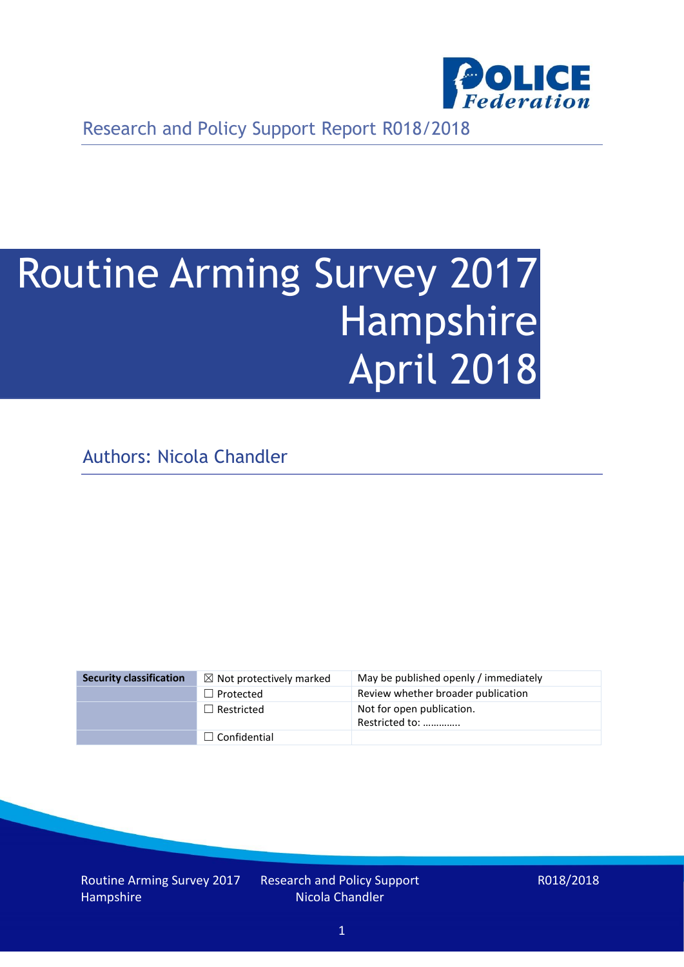

Research and Policy Support Report R018/2018

# Routine Arming Survey 2017 Hampshire April 2018

Authors: Nicola Chandler

| <b>Security classification</b> | $\boxtimes$ Not protectively marked | May be published openly / immediately       |
|--------------------------------|-------------------------------------|---------------------------------------------|
|                                | $\Box$ Protected                    | Review whether broader publication          |
|                                | $\Box$ Restricted                   | Not for open publication.<br>Restricted to: |
|                                | $\Box$ Confidential                 |                                             |

Routine Arming Survey 2017 Hampshire

Research and Policy Support Nicola Chandler

R018/2018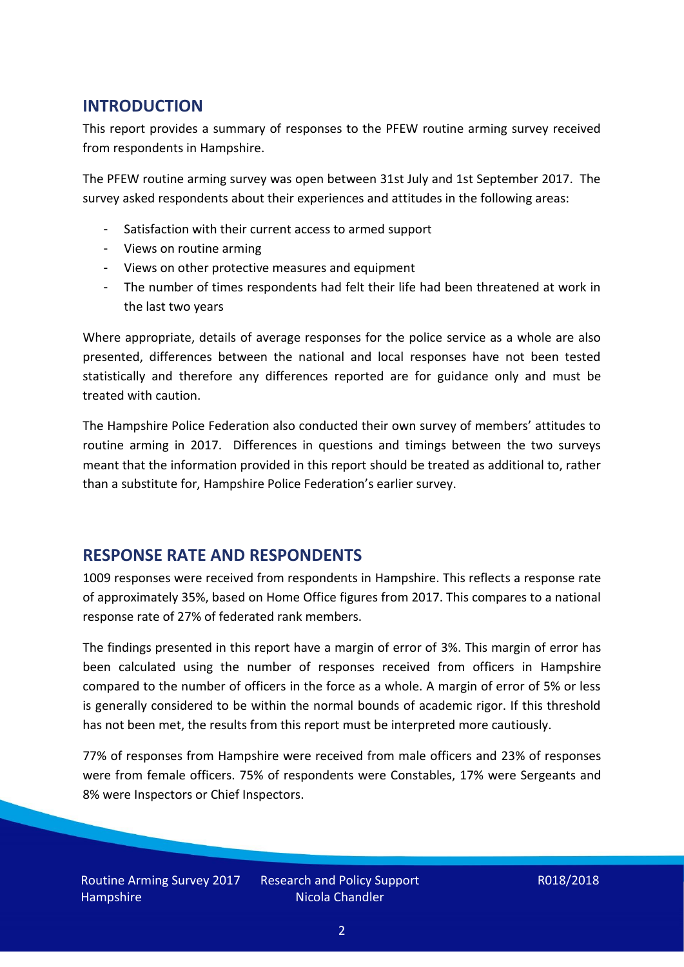# **INTRODUCTION**

This report provides a summary of responses to the PFEW routine arming survey received from respondents in Hampshire.

The PFEW routine arming survey was open between 31st July and 1st September 2017. The survey asked respondents about their experiences and attitudes in the following areas:

- Satisfaction with their current access to armed support
- Views on routine arming
- Views on other protective measures and equipment
- The number of times respondents had felt their life had been threatened at work in the last two years

Where appropriate, details of average responses for the police service as a whole are also presented, differences between the national and local responses have not been tested statistically and therefore any differences reported are for guidance only and must be treated with caution.

The Hampshire Police Federation also conducted their own survey of members' attitudes to routine arming in 2017. Differences in questions and timings between the two surveys meant that the information provided in this report should be treated as additional to, rather than a substitute for, Hampshire Police Federation's earlier survey.

### **RESPONSE RATE AND RESPONDENTS**

1009 responses were received from respondents in Hampshire. This reflects a response rate of approximately 35%, based on Home Office figures from 2017. This compares to a national response rate of 27% of federated rank members.

The findings presented in this report have a margin of error of 3%. This margin of error has been calculated using the number of responses received from officers in Hampshire compared to the number of officers in the force as a whole. A margin of error of 5% or less is generally considered to be within the normal bounds of academic rigor. If this threshold has not been met, the results from this report must be interpreted more cautiously.

77% of responses from Hampshire were received from male officers and 23% of responses were from female officers. 75% of respondents were Constables, 17% were Sergeants and 8% were Inspectors or Chief Inspectors.

Research and Policy Support Nicola Chandler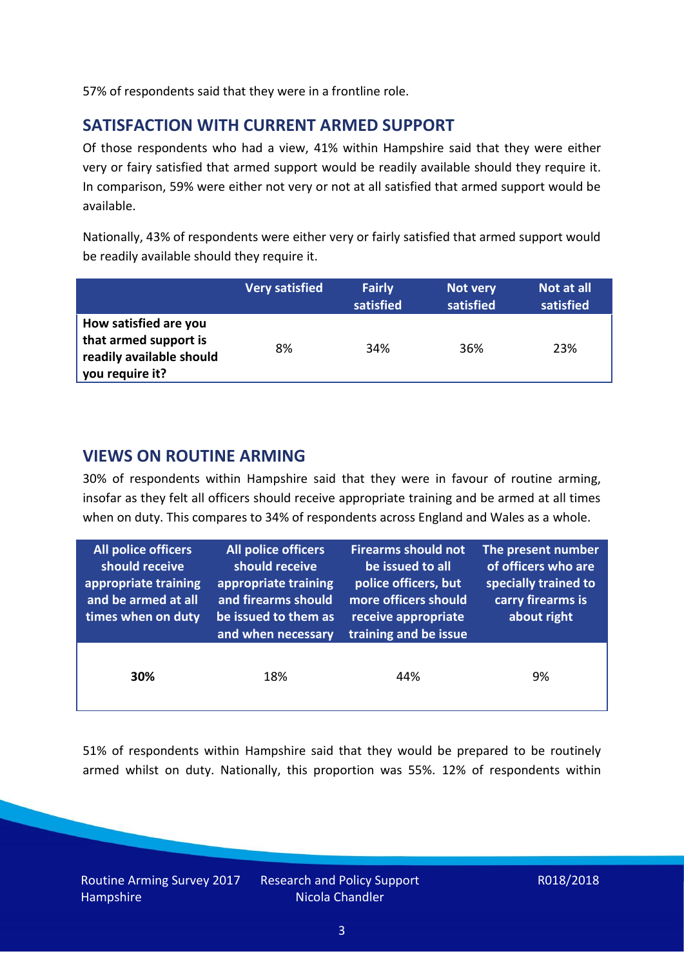57% of respondents said that they were in a frontline role.

# **SATISFACTION WITH CURRENT ARMED SUPPORT**

Of those respondents who had a view, 41% within Hampshire said that they were either very or fairy satisfied that armed support would be readily available should they require it. In comparison, 59% were either not very or not at all satisfied that armed support would be available.

Nationally, 43% of respondents were either very or fairly satisfied that armed support would be readily available should they require it.

|                                                                                               | <b>Very satisfied</b> | <b>Fairly</b><br>satisfied | Not very<br>satisfied | Not at all<br>satisfied |
|-----------------------------------------------------------------------------------------------|-----------------------|----------------------------|-----------------------|-------------------------|
| How satisfied are you<br>that armed support is<br>readily available should<br>you require it? | 8%                    | 34%                        | 36%                   | 23%                     |

#### **VIEWS ON ROUTINE ARMING**

30% of respondents within Hampshire said that they were in favour of routine arming, insofar as they felt all officers should receive appropriate training and be armed at all times when on duty. This compares to 34% of respondents across England and Wales as a whole.

| All police officers<br>should receive<br>appropriate training<br>and be armed at all<br>times when on duty | All police officers<br>should receive<br>appropriate training<br>and firearms should<br>be issued to them as<br>and when necessary | <b>Firearms should not</b><br>be issued to all<br>police officers, but<br>more officers should<br>receive appropriate<br>training and be issue | The present number<br>of officers who are<br>specially trained to<br>carry firearms is<br>about right |  |
|------------------------------------------------------------------------------------------------------------|------------------------------------------------------------------------------------------------------------------------------------|------------------------------------------------------------------------------------------------------------------------------------------------|-------------------------------------------------------------------------------------------------------|--|
| 30%                                                                                                        | 18%                                                                                                                                | 44%                                                                                                                                            | 9%                                                                                                    |  |

51% of respondents within Hampshire said that they would be prepared to be routinely armed whilst on duty. Nationally, this proportion was 55%. 12% of respondents within

Routine Arming Survey 2017 Hampshire

Research and Policy Support Nicola Chandler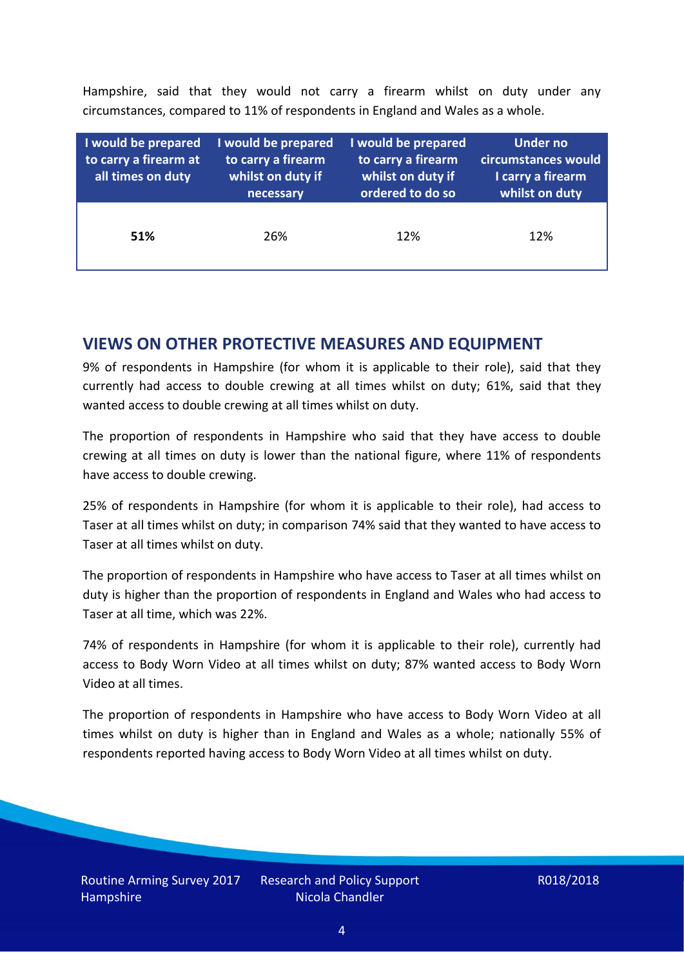Hampshire, said that they would not carry a firearm whilst on duty under any circumstances, compared to 11% of respondents in England and Wales as a whole.

| I would be prepared<br>to carry a firearm at<br>all times on duty | I would be prepared<br>to carry a firearm<br>whilst on duty if<br>necessary | I would be prepared<br>to carry a firearm<br>whilst on duty if<br>ordered to do so | Under no<br>circumstances would<br>I carry a firearm<br>whilst on duty |
|-------------------------------------------------------------------|-----------------------------------------------------------------------------|------------------------------------------------------------------------------------|------------------------------------------------------------------------|
| 51%                                                               | 26%                                                                         | 12%                                                                                | 12%                                                                    |

### **VIEWS ON OTHER PROTECTIVE MEASURES AND EQUIPMENT**

9% of respondents in Hampshire (for whom it is applicable to their role), said that they currently had access to double crewing at all times whilst on duty; 61%, said that they wanted access to double crewing at all times whilst on duty.

The proportion of respondents in Hampshire who said that they have access to double crewing at all times on duty is lower than the national figure, where 11% of respondents have access to double crewing.

25% of respondents in Hampshire (for whom it is applicable to their role), had access to Taser at all times whilst on duty; in comparison 74% said that they wanted to have access to Taser at all times whilst on duty.

The proportion of respondents in Hampshire who have access to Taser at all times whilst on duty is higher than the proportion of respondents in England and Wales who had access to Taser at all time, which was 22%.

74% of respondents in Hampshire (for whom it is applicable to their role), currently had access to Body Worn Video at all times whilst on duty; 87% wanted access to Body Worn Video at all times.

The proportion of respondents in Hampshire who have access to Body Worn Video at all times whilst on duty is higher than in England and Wales as a whole; nationally 55% of respondents reported having access to Body Worn Video at all times whilst on duty.

Research and Policy Support Nicola Chandler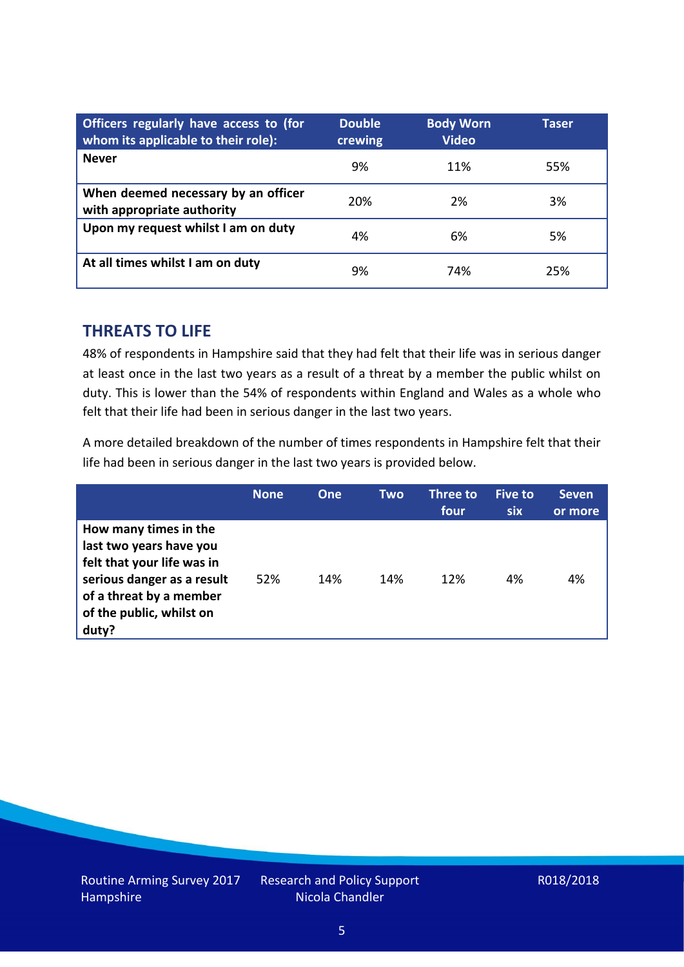| Officers regularly have access to (for<br>whom its applicable to their role): | <b>Double</b><br>crewing | <b>Body Worn</b><br><b>Video</b> | Taser |
|-------------------------------------------------------------------------------|--------------------------|----------------------------------|-------|
| <b>Never</b>                                                                  | 9%                       | 11%                              | 55%   |
| When deemed necessary by an officer<br>with appropriate authority             | 20%                      | 2%                               | 3%    |
| Upon my request whilst I am on duty                                           | 4%                       | 6%                               | 5%    |
| At all times whilst I am on duty                                              | 9%                       | 74%                              | 25%   |

#### **THREATS TO LIFE**

48% of respondents in Hampshire said that they had felt that their life was in serious danger at least once in the last two years as a result of a threat by a member the public whilst on duty. This is lower than the 54% of respondents within England and Wales as a whole who felt that their life had been in serious danger in the last two years.

A more detailed breakdown of the number of times respondents in Hampshire felt that their life had been in serious danger in the last two years is provided below.

|                                                                                                                                                                              | <b>None</b> | <b>One</b> | Two | Three to<br>four | Five to<br>six | <b>Seven</b><br>or more |
|------------------------------------------------------------------------------------------------------------------------------------------------------------------------------|-------------|------------|-----|------------------|----------------|-------------------------|
| How many times in the<br>last two years have you<br>felt that your life was in<br>serious danger as a result<br>of a threat by a member<br>of the public, whilst on<br>duty? | 52%         | 14%        | 14% | 12%              | 4%             | 4%                      |

Research and Policy Support Nicola Chandler

#### R018/2018